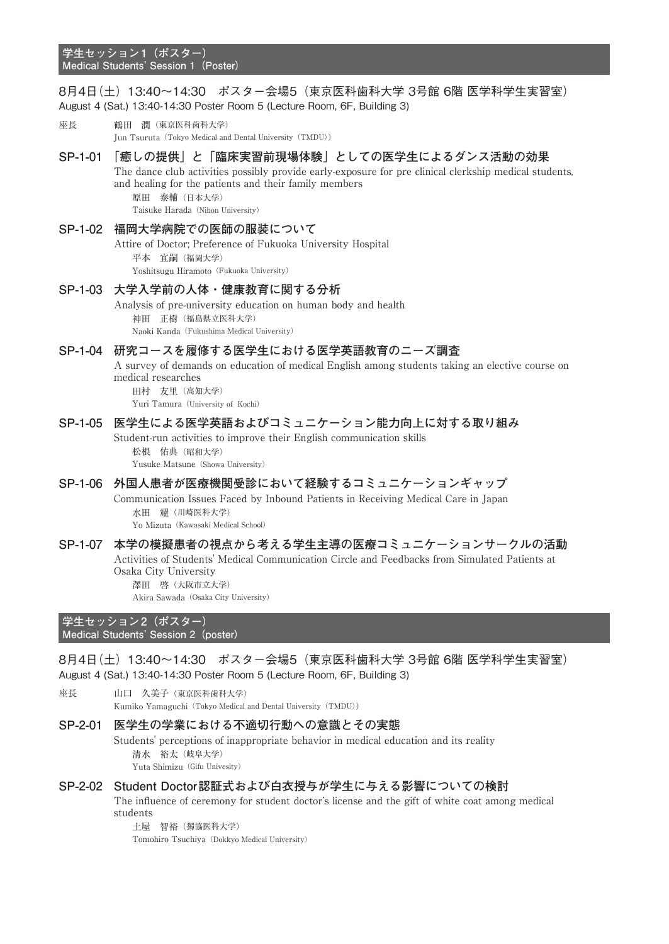**学生セッション1(ポスター) Medical Students' Session 1(Poster)**

## 8月4日(土)13:40~14:30 ポスター会場5(東京医科歯科大学 3号館 6階 医学科学生実習室) August 4 (Sat.) 13:40-14:30 Poster Room 5 (Lecture Room, 6F, Building 3)

座長 鶴田 潤 (東京医科歯科大学) Jun Tsuruta (Tokyo Medical and Dental University (TMDU))

# **SP-1-01 「癒しの提供」と「臨床実習前現場体験」としての医学生によるダンス活動の効果**

The dance club activities possibly provide early-exposure for pre clinical clerkship medical students, and healing for the patients and their family members 原田 泰輔(日本大学) Taisuke Harada (Nihon University)

## **SP-1-02 福岡大学病院での医師の服装について**

Attire of Doctor; Preference of Fukuoka University Hospital 平本 宜嗣(福岡大学) Yoshitsugu Hiramoto (Fukuoka University)

## **SP-1-03 大学入学前の人体・健康教育に関する分析**

Analysis of pre-university education on human body and health 神田 正樹(福島県立医科大学) Naoki Kanda(Fukushima Medical University)

## **SP-1-04 研究コースを履修する医学生における医学英語教育のニーズ調査**

A survey of demands on education of medical English among students taking an elective course on medical researches 田村 友里(高知大学)

Yuri Tamura (University of Kochi)

# **SP-1-05 医学生による医学英語およびコミュニケーション能力向上に対する取り組み**

Student-run activities to improve their English communication skills 松根 佑典(昭和大学) Yusuke Matsune (Showa University)

# **SP-1-06 外国人患者が医療機関受診において経験するコミュニケーションギャップ**

Communication Issues Faced by Inbound Patients in Receiving Medical Care in Japan 水田 耀(川崎医科大学) Yo Mizuta (Kawasaki Medical School)

# **SP-1-07 本学の模擬患者の視点から考える学生主導の医療コミュニケーションサークルの活動**

Activities of Students' Medical Communication Circle and Feedbacks from Simulated Patients at Osaka City University 澤田 啓(大阪市立大学)

Akira Sawada (Osaka City University)

**学生セッション2(ポスター) Medical Students' Session 2(poster)**

## 8月4日(土)13:40~14:30 ポスター会場5(東京医科歯科大学 3号館 6階 医学科学生実習室) August 4 (Sat.) 13:40-14:30 Poster Room 5 (Lecture Room, 6F, Building 3)

座長 山口 久美子 (東京医科歯科大学) Kumiko Yamaguchi (Tokyo Medical and Dental University (TMDU))

# **SP-2-01 医学生の学業における不適切行動への意識とその実態**

Students' perceptions of inappropriate behavior in medical education and its reality 清水 裕太(岐阜大学) Yuta Shimizu (Gifu Univesity)

## **SP-2-02 Student Doctor認証式および白衣授与が学生に与える影響についての検討**

The influence of ceremony for student doctor's license and the gift of white coat among medical students

土屋 智裕(獨協医科大学) Tomohiro Tsuchiya (Dokkyo Medical University)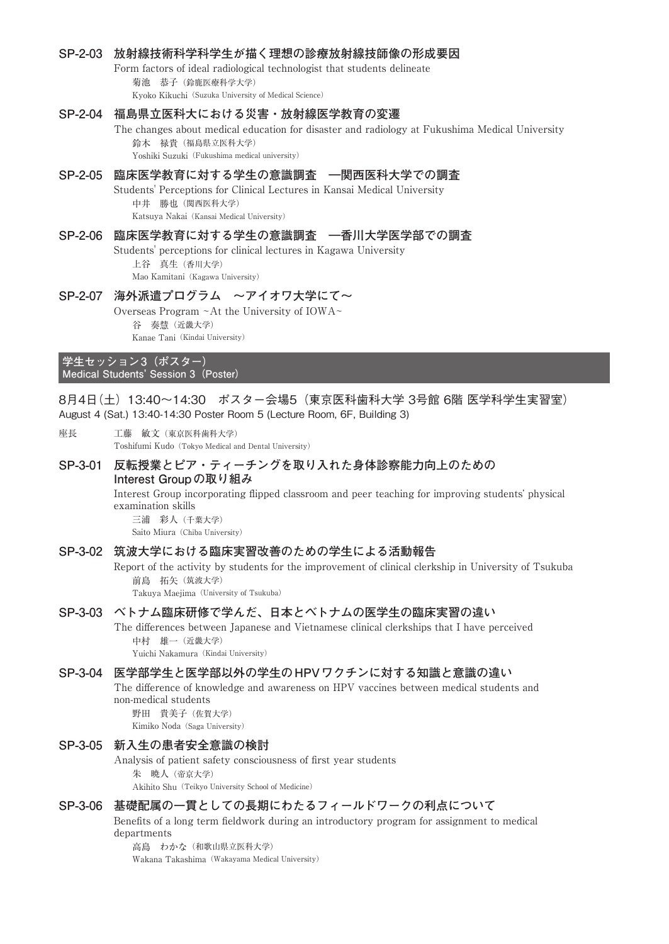#### **SP-2-03 放射線技術科学科学生が描く理想の診療放射線技師像の形成要因**

Form factors of ideal radiological technologist that students delineate 菊池 恭子(鈴鹿医療科学大学) Kyoko Kikuchi(Suzuka University of Medical Science)

#### **SP-2-04 福島県立医科大における災害・放射線医学教育の変遷**

The changes about medical education for disaster and radiology at Fukushima Medical University 鈴木 禄貴(福島県立医科大学) Yoshiki Suzuki (Fukushima medical university)

# **SP-2-05 臨床医学教育に対する学生の意識調査 ―関西医科大学での調査**

Students' Perceptions for Clinical Lectures in Kansai Medical University 中井 勝也(関西医科大学) Katsuya Nakai(Kansai Medical University)

**SP-2-06 臨床医学教育に対する学生の意識調査 ―香川大学医学部での調査**

Students' perceptions for clinical lectures in Kagawa University 上谷 真生(香川大学) Mao Kamitani(Kagawa University)

## **SP-2-07 海外派遣プログラム ~アイオワ大学にて~**

Overseas Program ~At the University of IOWA~ 谷 奏慧(近畿大学) Kanae Tani(Kindai University)

#### **学生セッション3(ポスター) Medical Students' Session 3(Poster)**

## 8月4日(土)13:40~14:30 ポスター会場5(東京医科歯科大学 3号館 6階 医学科学生実習室) August 4 (Sat.) 13:40-14:30 Poster Room 5 (Lecture Room, 6F, Building 3)

座長 工藤 敏文(東京医科歯科大学) Toshifumi Kudo (Tokyo Medical and Dental University)

## **SP-3-01 反転授業とピア・ティーチングを取り入れた身体診察能力向上のための Interest Groupの取り組み**

Interest Group incorporating flipped classroom and peer teaching for improving students' physical examination skills

三浦 彩人(千葉大学) Saito Miura (Chiba University)

#### **SP-3-02 筑波大学における臨床実習改善のための学生による活動報告**

Report of the activity by students for the improvement of clinical clerkship in University of Tsukuba 前島 拓矢(筑波大学)

Takuya Maejima (University of Tsukuba)

## **SP-3-03 ベトナム臨床研修で学んだ、日本とベトナムの医学生の臨床実習の違い**

The differences between Japanese and Vietnamese clinical clerkships that I have perceived 中村 雄一(近畿大学) Yuichi Nakamura (Kindai University)

#### **SP-3-04 医学部学生と医学部以外の学生のHPVワクチンに対する知識と意識の違い**

The difference of knowledge and awareness on HPV vaccines between medical students and non-medical students

野田 貴美子(佐賀大学) Kimiko Noda (Saga University)

# **SP-3-05 新入生の患者安全意識の検討**

Analysis of patient safety consciousness of first year students 朱 暁人(帝京大学) Akihito Shu(Teikyo University School of Medicine)

#### **SP-3-06 基礎配属の一貫としての長期にわたるフィールドワークの利点について**

Benefits of a long term fieldwork during an introductory program for assignment to medical departments

高島 わかな(和歌山県立医科大学) Wakana Takashima(Wakayama Medical University)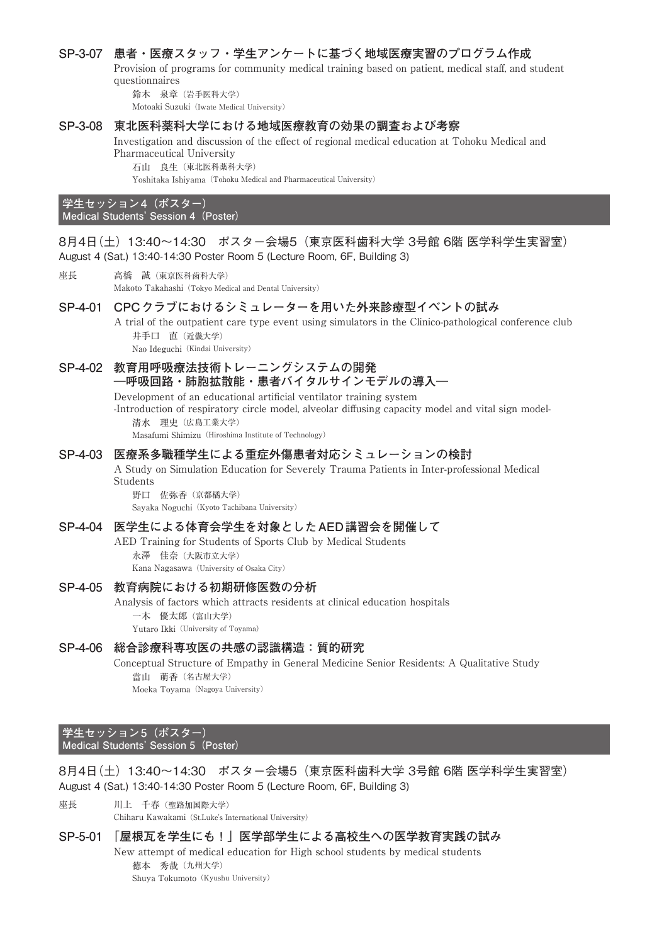## **SP-3-07 患者・医療スタッフ・学生アンケートに基づく地域医療実習のプログラム作成**

Provision of programs for community medical training based on patient, medical staff, and student questionnaires

鈴木 泉章(岩手医科大学) Motoaki Suzuki (Iwate Medical University)

#### **SP-3-08 東北医科薬科大学における地域医療教育の効果の調査および考察**

Investigation and discussion of the effect of regional medical education at Tohoku Medical and Pharmaceutical University

石山 良生(東北医科薬科大学)

Yoshitaka Ishiyama (Tohoku Medical and Pharmaceutical University)

**学生セッション4(ポスター) Medical Students' Session 4(Poster)**

## 8月4日(土)13:40~14:30 ポスター会場5(東京医科歯科大学 3号館 6階 医学科学生実習室) August 4 (Sat.) 13:40-14:30 Poster Room 5 (Lecture Room, 6F, Building 3)

座長 高橋 誠(東京医科歯科大学) Makoto Takahashi (Tokyo Medical and Dental University)

## **SP-4-01 CPCクラブにおけるシミュレーターを用いた外来診療型イベントの試み**

A trial of the outpatient care type event using simulators in the Clinico-pathological conference club 井手口 直(近畿大学)

Nao Ideguchi (Kindai University)

## **SP-4-02 教育用呼吸療法技術トレーニングシステムの開発 ―呼吸回路・肺胞拡散能・患者バイタルサインモデルの導入―**

Development of an educational artificial ventilator training system -Introduction of respiratory circle model, alveolar diffusing capacity model and vital sign model-清水 理史(広島工業大学)

Masafumi Shimizu(Hiroshima Institute of Technology)

#### **SP-4-03 医療系多職種学生による重症外傷患者対応シミュレーションの検討**

A Study on Simulation Education for Severely Trauma Patients in Inter-professional Medical Students

野口 佐弥香(京都橘大学) Sayaka Noguchi (Kyoto Tachibana University)

## **SP-4-04 医学生による体育会学生を対象としたAED講習会を開催して**

AED Training for Students of Sports Club by Medical Students 永澤 佳奈(大阪市立大学)

Kana Nagasawa (University of Osaka City)

## **SP-4-05 教育病院における初期研修医数の分析** Analysis of factors which attracts residents at clinical education hospitals 一木 優太郎(富山大学)

Yutaro Ikki (University of Toyama)

#### **SP-4-06 総合診療科専攻医の共感の認識構造:質的研究**

Conceptual Structure of Empathy in General Medicine Senior Residents: A Qualitative Study 當山 萌香(名古屋大学) Moeka Toyama(Nagoya University)

**学生セッション5(ポスター) Medical Students' Session 5(Poster)**

## 8月4日(土)13:40~14:30 ポスター会場5(東京医科歯科大学 3号館 6階 医学科学生実習室) August 4 (Sat.) 13:40-14:30 Poster Room 5 (Lecture Room, 6F, Building 3)

座長 川上 千春(聖路加国際大学)

Chiharu Kawakami(St.Luke's International University)

## **SP-5-01 「屋根瓦を学生にも!」医学部学生による高校生への医学教育実践の試み**

New attempt of medical education for High school students by medical students 徳本 秀哉(九州大学) Shuya Tokumoto (Kyushu University)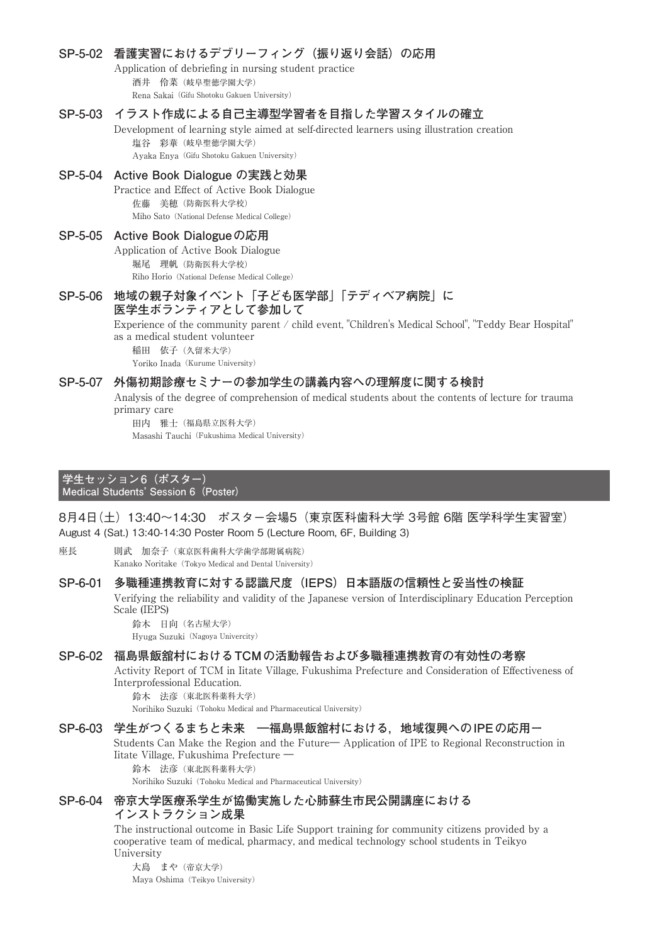#### **SP-5-02 看護実習におけるデブリーフィング(振り返り会話)の応用**

Application of debriefing in nursing student practice 酒井 伶菜(岐阜聖徳学園大学) Rena Sakai(Gifu Shotoku Gakuen University)

#### **SP-5-03 イラスト作成による自己主導型学習者を目指した学習スタイルの確立**

Development of learning style aimed at self-directed learners using illustration creation 塩谷 彩華(岐阜聖徳学園大学) Ayaka Enya(Gifu Shotoku Gakuen University)

**SP-5-04 Active Book Dialogue の実践と効果** Practice and Effect of Active Book Dialogue 佐藤 美穂(防衛医科大学校) Miho Sato (National Defense Medical College)

#### **SP-5-05 Active Book Dialogueの応用**

Application of Active Book Dialogue 堀尾 理帆(防衛医科大学校) Riho Horio(National Defense Medical College)

#### **SP-5-06 地域の親子対象イベント「子ども医学部」「テディベア病院」に 医学生ボランティアとして参加して**

Experience of the community parent / child event, "Children's Medical School", "Teddy Bear Hospital" as a medical student volunteer 稲田 依子(久留米大学)

Yoriko Inada (Kurume University)

## **SP-5-07 外傷初期診療セミナーの参加学生の講義内容への理解度に関する検討**

Analysis of the degree of comprehension of medical students about the contents of lecture for trauma primary care

田内 雅士(福島県立医科大学) Masashi Tauchi(Fukushima Medical University)

# **学生セッション6(ポスター)**

**Medical Students' Session 6(Poster)**

## 8月4日(土)13:40~14:30 ポスター会場5(東京医科歯科大学 3号館 6階 医学科学生実習室) August 4 (Sat.) 13:40-14:30 Poster Room 5 (Lecture Room, 6F, Building 3)

座長 則武 加奈子(東京医科歯科大学歯学部附属病院) Kanako Noritake (Tokyo Medical and Dental University)

## **SP-6-01 多職種連携教育に対する認識尺度(IEPS)日本語版の信頼性と妥当性の検証**

Verifying the reliability and validity of the Japanese version of Interdisciplinary Education Perception Scale (IEPS)

鈴木 日向(名古屋大学) Hyuga Suzuki(Nagoya Univercity)

# **SP-6-02 福島県飯舘村におけるTCMの活動報告および多職種連携教育の有効性の考察**

Activity Report of TCM in Iitate Village, Fukushima Prefecture and Consideration of Effectiveness of Interprofessional Education.

鈴木 法彦(東北医科薬科大学) Norihiko Suzuki(Tohoku Medical and Pharmaceutical University)

#### **SP-6-03 学生がつくるまちと未来 ―福島県飯舘村における,地域復興へのIPEの応用ー**

Students Can Make the Region and the Future― Application of IPE to Regional Reconstruction in Iitate Village, Fukushima Prefecture ―

鈴木 法彦(東北医科薬科大学)

Norihiko Suzuki(Tohoku Medical and Pharmaceutical University)

## **SP-6-04 帝京大学医療系学生が協働実施した心肺蘇生市民公開講座における インストラクション成果**

The instructional outcome in Basic Life Support training for community citizens provided by a cooperative team of medical, pharmacy, and medical technology school students in Teikyo University

大島 まや(帝京大学) Maya Oshima (Teikyo University)